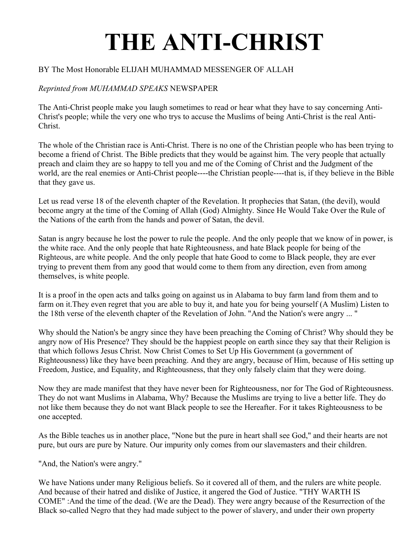## **THE ANTI-CHRIST**

## BY The Most Honorable ELIJAH MUHAMMAD MESSENGER OF ALLAH

## *Reprinted from MUHAMMAD SPEAKS* NEWSPAPER

The Anti-Christ people make you laugh sometimes to read or hear what they have to say concerning Anti-Christ's people; while the very one who trys to accuse the Muslims of being Anti-Christ is the real Anti-Christ.

The whole of the Christian race is Anti-Christ. There is no one of the Christian people who has been trying to become a friend of Christ. The Bible predicts that they would be against him. The very people that actually preach and claim they are so happy to tell you and me of the Coming of Christ and the Judgment of the world, are the real enemies or Anti-Christ people----the Christian people----that is, if they believe in the Bible that they gave us.

Let us read verse 18 of the eleventh chapter of the Revelation. It prophecies that Satan, (the devil), would become angry at the time of the Coming of Allah (God) Almighty. Since He Would Take Over the Rule of the Nations of the earth from the hands and power of Satan, the devil.

Satan is angry because he lost the power to rule the people. And the only people that we know of in power, is the white race. And the only people that hate Righteousness, and hate Black people for being of the Righteous, are white people. And the only people that hate Good to come to Black people, they are ever trying to prevent them from any good that would come to them from any direction, even from among themselves, is white people.

It is a proof in the open acts and talks going on against us in Alabama to buy farm land from them and to farm on it.They even regret that you are able to buy it, and hate you for being yourself (A Muslim) Listen to the 18th verse of the eleventh chapter of the Revelation of John. "And the Nation's were angry ... "

Why should the Nation's be angry since they have been preaching the Coming of Christ? Why should they be angry now of His Presence? They should be the happiest people on earth since they say that their Religion is that which follows Jesus Christ. Now Christ Comes to Set Up His Government (a government of Righteousness) like they have been preaching. And they are angry, because of Him, because of His setting up Freedom, Justice, and Equality, and Righteousness, that they only falsely claim that they were doing.

Now they are made manifest that they have never been for Righteousness, nor for The God of Righteousness. They do not want Muslims in Alabama, Why? Because the Muslims are trying to live a better life. They do not like them because they do not want Black people to see the Hereafter. For it takes Righteousness to be one accepted.

As the Bible teaches us in another place, "None but the pure in heart shall see God," and their hearts are not pure, but ours are pure by Nature. Our impurity only comes from our slavemasters and their children.

"And, the Nation's were angry."

We have Nations under many Religious beliefs. So it covered all of them, and the rulers are white people. And because of their hatred and dislike of Justice, it angered the God of Justice. "THY WARTH IS COME" :And the time of the dead. (We are the Dead). They were angry because of the Resurrection of the Black so-called Negro that they had made subject to the power of slavery, and under their own property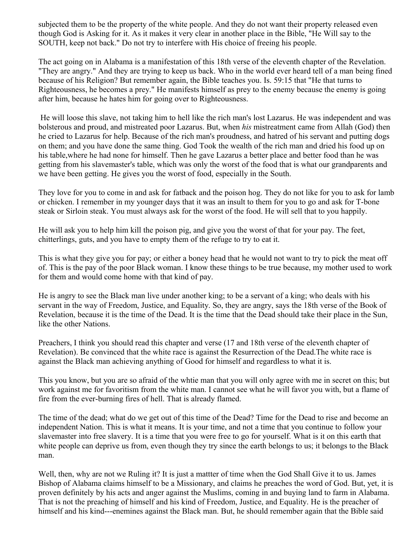subjected them to be the property of the white people. And they do not want their property released even though God is Asking for it. As it makes it very clear in another place in the Bible, "He Will say to the SOUTH, keep not back." Do not try to interfere with His choice of freeing his people.

The act going on in Alabama is a manifestation of this 18th verse of the eleventh chapter of the Revelation. "They are angry." And they are trying to keep us back. Who in the world ever heard tell of a man being fined because of his Religion? But remember again, the Bible teaches you. Is. 59:15 that "He that turns to Righteousness, he becomes a prey." He manifests himself as prey to the enemy because the enemy is going after him, because he hates him for going over to Righteousness.

He will loose this slave, not taking him to hell like the rich man's lost Lazarus. He was independent and was bolsterous and proud, and mistreated poor Lazarus. But, when *his* mistreatment came from Allah (God) then he cried to Lazarus for help. Because of the rich man's proudness, and hatred of his servant and putting dogs on them; and you have done the same thing. God Took the wealth of the rich man and dried his food up on his table,where he had none for himself. Then he gave Lazarus a better place and better food than he was getting from his slavemaster's table, which was only the worst of the food that is what our grandparents and we have been getting. He gives you the worst of food, especially in the South.

They love for you to come in and ask for fatback and the poison hog. They do not like for you to ask for lamb or chicken. I remember in my younger days that it was an insult to them for you to go and ask for T-bone steak or Sirloin steak. You must always ask for the worst of the food. He will sell that to you happily.

He will ask you to help him kill the poison pig, and give you the worst of that for your pay. The feet, chitterlings, guts, and you have to empty them of the refuge to try to eat it.

This is what they give you for pay; or either a boney head that he would not want to try to pick the meat off of. This is the pay of the poor Black woman. I know these things to be true because, my mother used to work for them and would come home with that kind of pay.

He is angry to see the Black man live under another king; to be a servant of a king; who deals with his servant in the way of Freedom, Justice, and Equality. So, they are angry, says the 18th verse of the Book of Revelation, because it is the time of the Dead. It is the time that the Dead should take their place in the Sun, like the other Nations.

Preachers, I think you should read this chapter and verse (17 and 18th verse of the eleventh chapter of Revelation). Be convinced that the white race is against the Resurrection of the Dead.The white race is against the Black man achieving anything of Good for himself and regardless to what it is.

This you know, but you are so afraid of the whtie man that you will only agree with me in secret on this; but work against me for favoritism from the white man. I cannot see what he will favor you with, but a flame of fire from the ever-burning fires of hell. That is already flamed.

The time of the dead; what do we get out of this time of the Dead? Time for the Dead to rise and become an independent Nation. This is what it means. It is your time, and not a time that you continue to follow your slavemaster into free slavery. It is a time that you were free to go for yourself. What is it on this earth that white people can deprive us from, even though they try since the earth belongs to us; it belongs to the Black man.

Well, then, why are not we Ruling it? It is just a mattter of time when the God Shall Give it to us. James Bishop of Alabama claims himself to be a Missionary, and claims he preaches the word of God. But, yet, it is proven definitely by his acts and anger against the Muslims, coming in and buying land to farm in Alabama. That is not the preaching of himself and his kind of Freedom, Justice, and Equality. He is the preacher of himself and his kind---enemines against the Black man. But, he should remember again that the Bible said